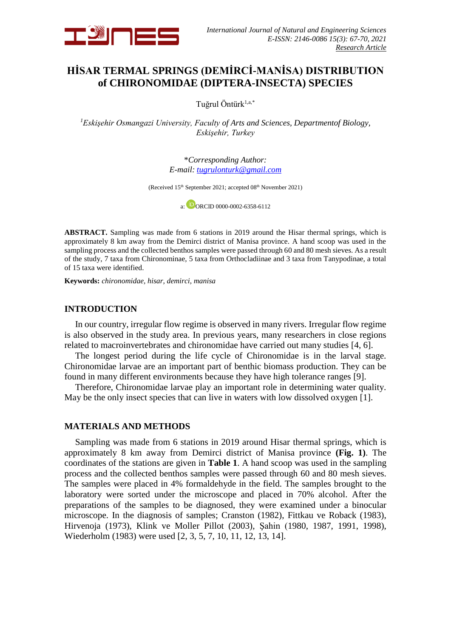

# **HİSAR TERMAL SPRINGS (DEMİRCİ-MANİSA) DISTRIBUTION of CHIRONOMIDAE (DIPTERA-INSECTA) SPECIES**

Tuğrul Öntürk<sup>1,a,\*</sup>

*<sup>1</sup>Eskişehir Osmangazi University, Faculty of Arts and Sciences, Departmentof Biology, Eskişehir, Turkey*

> \**Corresponding Author: E-mail: [tugrulonturk@gmail.com](mailto:tugrulonturk@gmail.com)*

(Received 15<sup>th</sup> September 2021; accepted 08<sup>th</sup> November 2021)

a:  $\overline{1}$ ORCID 0000-0002-6358-6112

**ABSTRACT.** Sampling was made from 6 stations in 2019 around the Hisar thermal springs, which is approximately 8 km away from the Demirci district of Manisa province. A hand scoop was used in the sampling process and the collected benthos samples were passed through 60 and 80 mesh sieves. As a result of the study, 7 taxa from Chironominae, 5 taxa from Orthocladiinae and 3 taxa from Tanypodinae, a total of 15 taxa were identified.

**Keywords:** *chironomidae, hisar, demirci, manisa*

# **INTRODUCTION**

In our country, irregular flow regime is observed in many rivers. Irregular flow regime is also observed in the study area. In previous years, many researchers in close regions related to macroinvertebrates and chironomidae have carried out many studies [4, 6].

The longest period during the life cycle of Chironomidae is in the larval stage. Chironomidae larvae are an important part of benthic biomass production. They can be found in many different environments because they have high tolerance ranges [9].

Therefore, Chironomidae larvae play an important role in determining water quality. May be the only insect species that can live in waters with low dissolved oxygen [1].

# **MATERIALS AND METHODS**

Sampling was made from 6 stations in 2019 around Hisar thermal springs, which is approximately 8 km away from Demirci district of Manisa province **(Fig. 1)**. The coordinates of the stations are given in **Table 1**. A hand scoop was used in the sampling process and the collected benthos samples were passed through 60 and 80 mesh sieves. The samples were placed in 4% formaldehyde in the field. The samples brought to the laboratory were sorted under the microscope and placed in 70% alcohol. After the preparations of the samples to be diagnosed, they were examined under a binocular microscope. In the diagnosis of samples; Cranston (1982), Fittkau ve Roback (1983), Hirvenoja (1973), Klink ve Moller Pillot (2003), Şahin (1980, 1987, 1991, 1998), Wiederholm (1983) were used [2, 3, 5, 7, 10, 11, 12, 13, 14].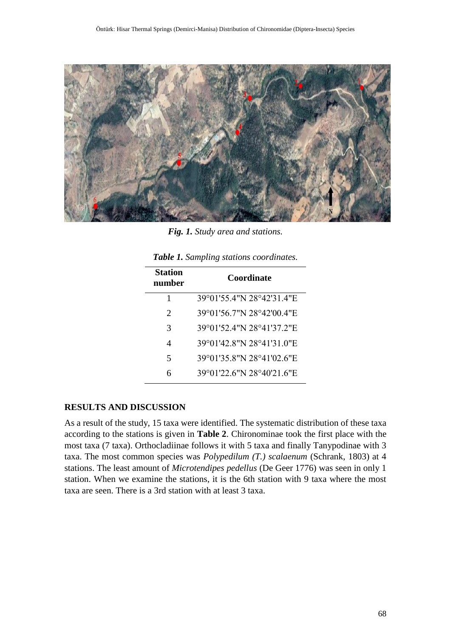

*Fig. 1. Study area and stations.*

*Table 1. Sampling stations coordinates.*

| <b>Station</b><br>number | Coordinate                |
|--------------------------|---------------------------|
| 1                        | 39°01'55.4"N 28°42'31.4"E |
| $\mathcal{D}_{\cdot}$    | 39°01'56.7"N 28°42'00.4"E |
| 3                        | 39°01'52.4"N 28°41'37.2"E |
| 4                        | 39°01'42.8"N 28°41'31.0"E |
| $\overline{\phantom{1}}$ | 39°01'35.8"N 28°41'02.6"E |
| 6                        | 39°01'22.6"N 28°40'21.6"E |

# **RESULTS AND DISCUSSION**

As a result of the study, 15 taxa were identified. The systematic distribution of these taxa according to the stations is given in **Table 2**. Chironominae took the first place with the most taxa (7 taxa). Orthocladiinae follows it with 5 taxa and finally Tanypodinae with 3 taxa. The most common species was *Polypedilum (T.) scalaenum* (Schrank, 1803) at 4 stations. The least amount of *Microtendipes pedellus* (De Geer 1776) was seen in only 1 station. When we examine the stations, it is the 6th station with 9 taxa where the most taxa are seen. There is a 3rd station with at least 3 taxa.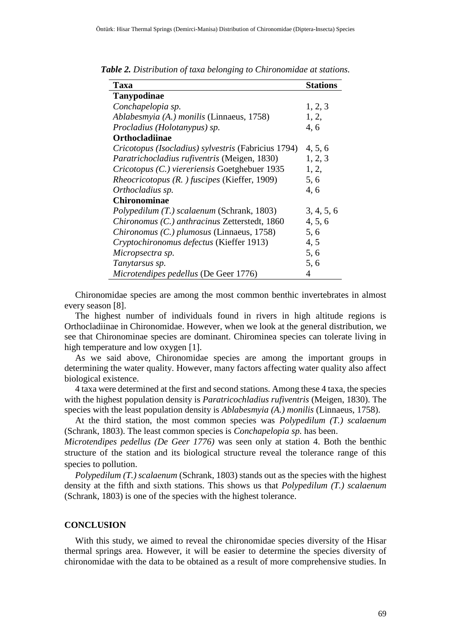| Taxa                                                | <b>Stations</b> |
|-----------------------------------------------------|-----------------|
| Tanypodinae                                         |                 |
| Conchapelopia sp.                                   | 1, 2, 3         |
| Ablabesmyia (A.) monilis (Linnaeus, 1758)           | 1, 2,           |
| Procladius (Holotanypus) sp.                        | 4,6             |
| <b>Orthocladiinae</b>                               |                 |
| Cricotopus (Isocladius) sylvestris (Fabricius 1794) | 4, 5, 6         |
| Paratrichocladius rufiventris (Meigen, 1830)        | 1, 2, 3         |
| Cricotopus (C.) viereriensis Goetghebuer 1935       | 1, 2,           |
| Rheocricotopus (R. ) fuscipes (Kieffer, 1909)       | 5,6             |
| Orthocladius sp.                                    | 4,6             |
| <b>Chironominae</b>                                 |                 |
| Polypedilum (T.) scalaenum (Schrank, 1803)          | 3, 4, 5, 6      |
| Chironomus (C.) anthracinus Zetterstedt, 1860       | 4, 5, 6         |
| Chironomus (C.) plumosus (Linnaeus, 1758)           | 5, 6            |
| Cryptochironomus defectus (Kieffer 1913)            | 4, 5            |
| Micropsectra sp.                                    | 5, 6            |
| Tanytarsus sp.                                      | 5, 6            |
| Microtendipes pedellus (De Geer 1776)               | 4               |

*Table 2. Distribution of taxa belonging to Chironomidae at stations.*

Chironomidae species are among the most common benthic invertebrates in almost every season [8].

The highest number of individuals found in rivers in high altitude regions is Orthocladiinae in Chironomidae. However, when we look at the general distribution, we see that Chironominae species are dominant. Chirominea species can tolerate living in high temperature and low oxygen [1].

As we said above, Chironomidae species are among the important groups in determining the water quality. However, many factors affecting water quality also affect biological existence.

4 taxa were determined at the first and second stations. Among these 4 taxa, the species with the highest population density is *Paratricochladius rufiventris* (Meigen, 1830). The species with the least population density is *Ablabesmyia (A.) monilis* (Linnaeus, 1758).

At the third station, the most common species was *Polypedilum (T.) scalaenum* (Schrank, 1803). The least common species is *Conchapelopia sp.* has been.

*Microtendipes pedellus (De Geer 1776)* was seen only at station 4. Both the benthic structure of the station and its biological structure reveal the tolerance range of this species to pollution.

*Polypedilum (T.) scalaenum (Schrank, 1803) stands out as the species with the highest* density at the fifth and sixth stations. This shows us that *Polypedilum (T.) scalaenum* (Schrank, 1803) is one of the species with the highest tolerance.

#### **CONCLUSION**

With this study, we aimed to reveal the chironomidae species diversity of the Hisar thermal springs area. However, it will be easier to determine the species diversity of chironomidae with the data to be obtained as a result of more comprehensive studies. In